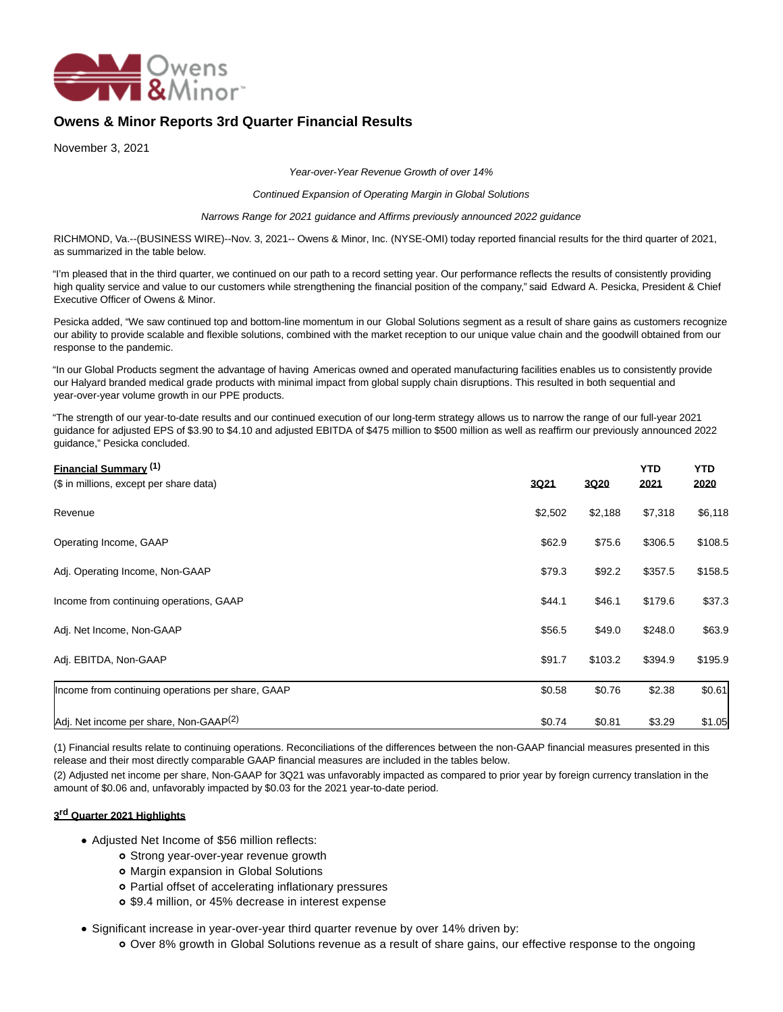

# **Owens & Minor Reports 3rd Quarter Financial Results**

November 3, 2021

Year-over-Year Revenue Growth of over 14%

Continued Expansion of Operating Margin in Global Solutions

Narrows Range for 2021 guidance and Affirms previously announced 2022 guidance

RICHMOND, Va.--(BUSINESS WIRE)--Nov. 3, 2021-- Owens & Minor, Inc. (NYSE-OMI) today reported financial results for the third quarter of 2021, as summarized in the table below.

"I'm pleased that in the third quarter, we continued on our path to a record setting year. Our performance reflects the results of consistently providing high quality service and value to our customers while strengthening the financial position of the company," said Edward A. Pesicka, President & Chief Executive Officer of Owens & Minor.

Pesicka added, "We saw continued top and bottom-line momentum in our Global Solutions segment as a result of share gains as customers recognize our ability to provide scalable and flexible solutions, combined with the market reception to our unique value chain and the goodwill obtained from our response to the pandemic.

"In our Global Products segment the advantage of having Americas owned and operated manufacturing facilities enables us to consistently provide our Halyard branded medical grade products with minimal impact from global supply chain disruptions. This resulted in both sequential and year-over-year volume growth in our PPE products.

"The strength of our year-to-date results and our continued execution of our long-term strategy allows us to narrow the range of our full-year 2021 guidance for adjusted EPS of \$3.90 to \$4.10 and adjusted EBITDA of \$475 million to \$500 million as well as reaffirm our previously announced 2022 guidance," Pesicka concluded.

| <b>Financial Summary (1)</b><br>(\$ in millions, except per share data) | 3021    | 3020    | YTD<br>2021 | <b>YTD</b><br>2020 |
|-------------------------------------------------------------------------|---------|---------|-------------|--------------------|
| Revenue                                                                 | \$2,502 | \$2,188 | \$7,318     | \$6,118            |
| Operating Income, GAAP                                                  | \$62.9  | \$75.6  | \$306.5     | \$108.5            |
| Adj. Operating Income, Non-GAAP                                         | \$79.3  | \$92.2  | \$357.5     | \$158.5            |
| Income from continuing operations, GAAP                                 | \$44.1  | \$46.1  | \$179.6     | \$37.3             |
| Adj. Net Income, Non-GAAP                                               | \$56.5  | \$49.0  | \$248.0     | \$63.9             |
| Adj. EBITDA, Non-GAAP                                                   | \$91.7  | \$103.2 | \$394.9     | \$195.9            |
| Income from continuing operations per share, GAAP                       | \$0.58  | \$0.76  | \$2.38      | \$0.61             |
| Adj. Net income per share, Non-GAAP <sup>(2)</sup>                      | \$0.74  | \$0.81  | \$3.29      | \$1.05             |

(1) Financial results relate to continuing operations. Reconciliations of the differences between the non-GAAP financial measures presented in this release and their most directly comparable GAAP financial measures are included in the tables below.

(2) Adjusted net income per share, Non-GAAP for 3Q21 was unfavorably impacted as compared to prior year by foreign currency translation in the amount of \$0.06 and, unfavorably impacted by \$0.03 for the 2021 year-to-date period.

### **3 rd Quarter 2021 Highlights**

- Adjusted Net Income of \$56 million reflects:
	- o Strong year-over-year revenue growth
	- Margin expansion in Global Solutions
	- Partial offset of accelerating inflationary pressures
	- \$9.4 million, or 45% decrease in interest expense
- Significant increase in year-over-year third quarter revenue by over 14% driven by:
	- Over 8% growth in Global Solutions revenue as a result of share gains, our effective response to the ongoing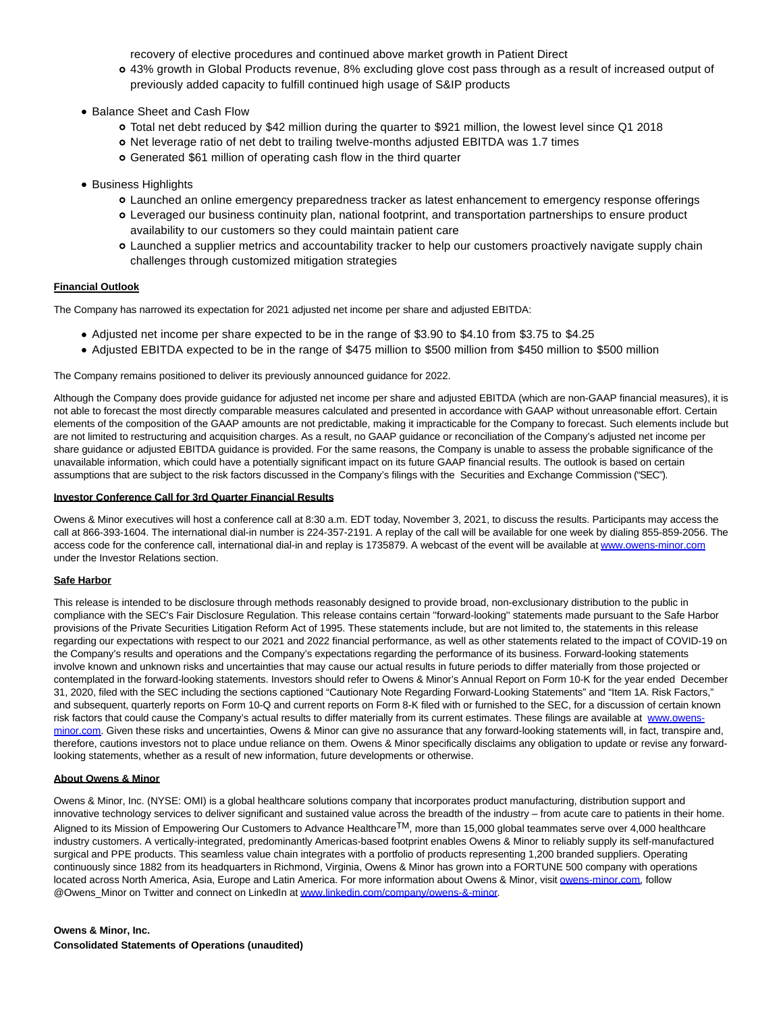recovery of elective procedures and continued above market growth in Patient Direct

- 43% growth in Global Products revenue, 8% excluding glove cost pass through as a result of increased output of previously added capacity to fulfill continued high usage of S&IP products
- Balance Sheet and Cash Flow
	- Total net debt reduced by \$42 million during the quarter to \$921 million, the lowest level since Q1 2018
	- o Net leverage ratio of net debt to trailing twelve-months adjusted EBITDA was 1.7 times
	- Generated \$61 million of operating cash flow in the third quarter
- Business Highlights
	- Launched an online emergency preparedness tracker as latest enhancement to emergency response offerings
	- Leveraged our business continuity plan, national footprint, and transportation partnerships to ensure product availability to our customers so they could maintain patient care
	- Launched a supplier metrics and accountability tracker to help our customers proactively navigate supply chain challenges through customized mitigation strategies

### **Financial Outlook**

The Company has narrowed its expectation for 2021 adjusted net income per share and adjusted EBITDA:

- Adjusted net income per share expected to be in the range of \$3.90 to \$4.10 from \$3.75 to \$4.25
- Adjusted EBITDA expected to be in the range of \$475 million to \$500 million from \$450 million to \$500 million

The Company remains positioned to deliver its previously announced guidance for 2022.

Although the Company does provide guidance for adjusted net income per share and adjusted EBITDA (which are non-GAAP financial measures), it is not able to forecast the most directly comparable measures calculated and presented in accordance with GAAP without unreasonable effort. Certain elements of the composition of the GAAP amounts are not predictable, making it impracticable for the Company to forecast. Such elements include but are not limited to restructuring and acquisition charges. As a result, no GAAP guidance or reconciliation of the Company's adjusted net income per share guidance or adjusted EBITDA guidance is provided. For the same reasons, the Company is unable to assess the probable significance of the unavailable information, which could have a potentially significant impact on its future GAAP financial results. The outlook is based on certain assumptions that are subject to the risk factors discussed in the Company's filings with the Securities and Exchange Commission ("SEC").

### **Investor Conference Call for 3rd Quarter Financial Results**

Owens & Minor executives will host a conference call at 8:30 a.m. EDT today, November 3, 2021, to discuss the results. Participants may access the call at 866-393-1604. The international dial-in number is 224-357-2191. A replay of the call will be available for one week by dialing 855-859-2056. The access code for the conference call, international dial-in and replay is 1735879. A webcast of the event will be available a[t www.owens-minor.com](https://cts.businesswire.com/ct/CT?id=smartlink&url=http%3A%2F%2Fwww.owens-minor.com&esheet=52520380&newsitemid=20211103005246&lan=en-US&anchor=www.owens-minor.com&index=1&md5=7c26f0655c81931fa63cbb9b00611c3b) under the Investor Relations section.

### **Safe Harbor**

This release is intended to be disclosure through methods reasonably designed to provide broad, non-exclusionary distribution to the public in compliance with the SEC's Fair Disclosure Regulation. This release contains certain ''forward-looking'' statements made pursuant to the Safe Harbor provisions of the Private Securities Litigation Reform Act of 1995. These statements include, but are not limited to, the statements in this release regarding our expectations with respect to our 2021 and 2022 financial performance, as well as other statements related to the impact of COVID-19 on the Company's results and operations and the Company's expectations regarding the performance of its business. Forward-looking statements involve known and unknown risks and uncertainties that may cause our actual results in future periods to differ materially from those projected or contemplated in the forward-looking statements. Investors should refer to Owens & Minor's Annual Report on Form 10-K for the year ended December 31, 2020, filed with the SEC including the sections captioned "Cautionary Note Regarding Forward-Looking Statements" and "Item 1A. Risk Factors," and subsequent, quarterly reports on Form 10-Q and current reports on Form 8-K filed with or furnished to the SEC, for a discussion of certain known risk factors that could cause the Company's actual results to differ materially from its current estimates. These filings are available at [www.owens](https://cts.businesswire.com/ct/CT?id=smartlink&url=http%3A%2F%2Fwww.owens-minor.com&esheet=52520380&newsitemid=20211103005246&lan=en-US&anchor=www.owens-minor.com&index=2&md5=cd2d2327122dca609e6a69cd03d69217)minor.com. Given these risks and uncertainties, Owens & Minor can give no assurance that any forward-looking statements will, in fact, transpire and, therefore, cautions investors not to place undue reliance on them. Owens & Minor specifically disclaims any obligation to update or revise any forwardlooking statements, whether as a result of new information, future developments or otherwise.

### **About Owens & Minor**

Owens & Minor, Inc. (NYSE: OMI) is a global healthcare solutions company that incorporates product manufacturing, distribution support and innovative technology services to deliver significant and sustained value across the breadth of the industry – from acute care to patients in their home. Aligned to its Mission of Empowering Our Customers to Advance Healthcare<sup>TM</sup>, more than 15,000 global teammates serve over 4,000 healthcare industry customers. A vertically-integrated, predominantly Americas-based footprint enables Owens & Minor to reliably supply its self-manufactured surgical and PPE products. This seamless value chain integrates with a portfolio of products representing 1,200 branded suppliers. Operating continuously since 1882 from its headquarters in Richmond, Virginia, Owens & Minor has grown into a FORTUNE 500 company with operations located across North America, Asia, Europe and Latin America. For more information about Owens & Minor, visi[t owens-minor.com,](http://owens-minor.com/) follow @Owens\_Minor on Twitter and connect on LinkedIn a[t www.linkedin.com/company/owens-&-minor.](https://cts.businesswire.com/ct/CT?id=smartlink&url=http%3A%2F%2Fwww.linkedin.com%2Fcompany%2Fowens-%26-minor&esheet=52520380&newsitemid=20211103005246&lan=en-US&anchor=www.linkedin.com%2Fcompany%2Fowens-%26amp%3B-minor&index=3&md5=929d9a57b10eb580c1348cf9353960ff)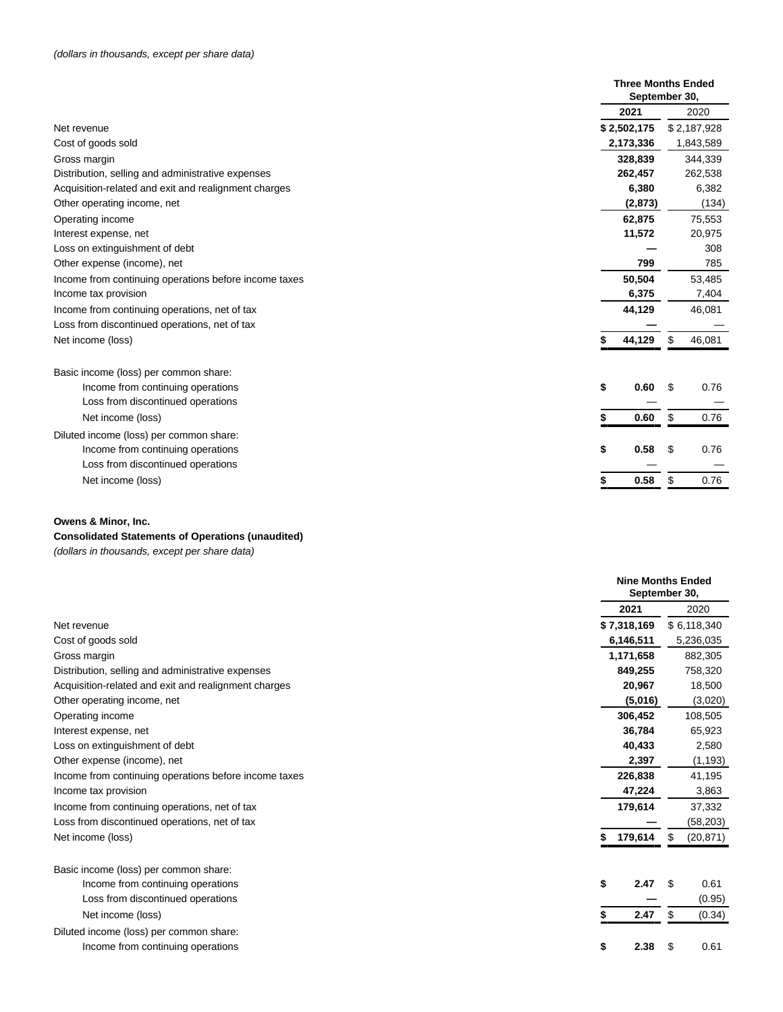|                                                                 | <b>Three Months Ended</b><br>September 30, |
|-----------------------------------------------------------------|--------------------------------------------|
| 2021                                                            | 2020                                       |
| \$2,502,175<br>Net revenue                                      | \$2,187,928                                |
| Cost of goods sold<br>2,173,336                                 | 1,843,589                                  |
| 328.839<br>Gross margin                                         | 344,339                                    |
| Distribution, selling and administrative expenses<br>262,457    | 262,538                                    |
| Acquisition-related and exit and realignment charges<br>6,380   | 6,382                                      |
| Other operating income, net<br>(2, 873)                         | (134)                                      |
| 62,875<br>Operating income                                      | 75,553                                     |
| 11,572<br>Interest expense, net                                 | 20,975                                     |
| Loss on extinguishment of debt                                  | 308                                        |
| Other expense (income), net<br>799                              | 785                                        |
| 50,504<br>Income from continuing operations before income taxes | 53,485                                     |
| Income tax provision<br>6,375                                   | 7,404                                      |
| 44,129<br>Income from continuing operations, net of tax         | 46,081                                     |
| Loss from discontinued operations, net of tax                   |                                            |
| 44,129<br>Net income (loss)                                     | \$<br>46,081                               |
| Basic income (loss) per common share:                           |                                            |
| Income from continuing operations<br>\$<br>0.60                 | 0.76<br>S                                  |
| Loss from discontinued operations                               |                                            |
| 0.60<br>Net income (loss)                                       | \$<br>0.76                                 |
| Diluted income (loss) per common share:                         |                                            |
| 0.58<br>Income from continuing operations<br>\$                 | \$<br>0.76                                 |
| Loss from discontinued operations                               |                                            |
| 0.58<br>Net income (loss)                                       | \$<br>0.76                                 |

## **Consolidated Statements of Operations (unaudited)**

(dollars in thousands, except per share data)

|                                                       |              | <b>Nine Months Ended</b><br>September 30, |
|-------------------------------------------------------|--------------|-------------------------------------------|
|                                                       | 2021         | 2020                                      |
| Net revenue                                           | \$7,318,169  | \$6,118,340                               |
| Cost of goods sold                                    | 6,146,511    | 5,236,035                                 |
| Gross margin                                          | 1,171,658    | 882,305                                   |
| Distribution, selling and administrative expenses     | 849,255      | 758,320                                   |
| Acquisition-related and exit and realignment charges  | 20,967       | 18,500                                    |
| Other operating income, net                           | (5,016)      | (3,020)                                   |
| Operating income                                      | 306,452      | 108,505                                   |
| Interest expense, net                                 | 36,784       | 65,923                                    |
| Loss on extinguishment of debt                        | 40,433       | 2,580                                     |
| Other expense (income), net                           | 2,397        | (1, 193)                                  |
| Income from continuing operations before income taxes | 226,838      | 41,195                                    |
| Income tax provision                                  | 47,224       | 3,863                                     |
| Income from continuing operations, net of tax         | 179,614      | 37,332                                    |
| Loss from discontinued operations, net of tax         |              | (58, 203)                                 |
| Net income (loss)                                     | 179,614<br>S | (20, 871)<br>\$                           |
| Basic income (loss) per common share:                 |              |                                           |
| Income from continuing operations                     | \$<br>2.47   | \$<br>0.61                                |
| Loss from discontinued operations                     |              | (0.95)                                    |
| Net income (loss)                                     | 2.47         | \$<br>(0.34)                              |
| Diluted income (loss) per common share:               |              |                                           |
| Income from continuing operations                     | \$<br>2.38   | \$<br>0.61                                |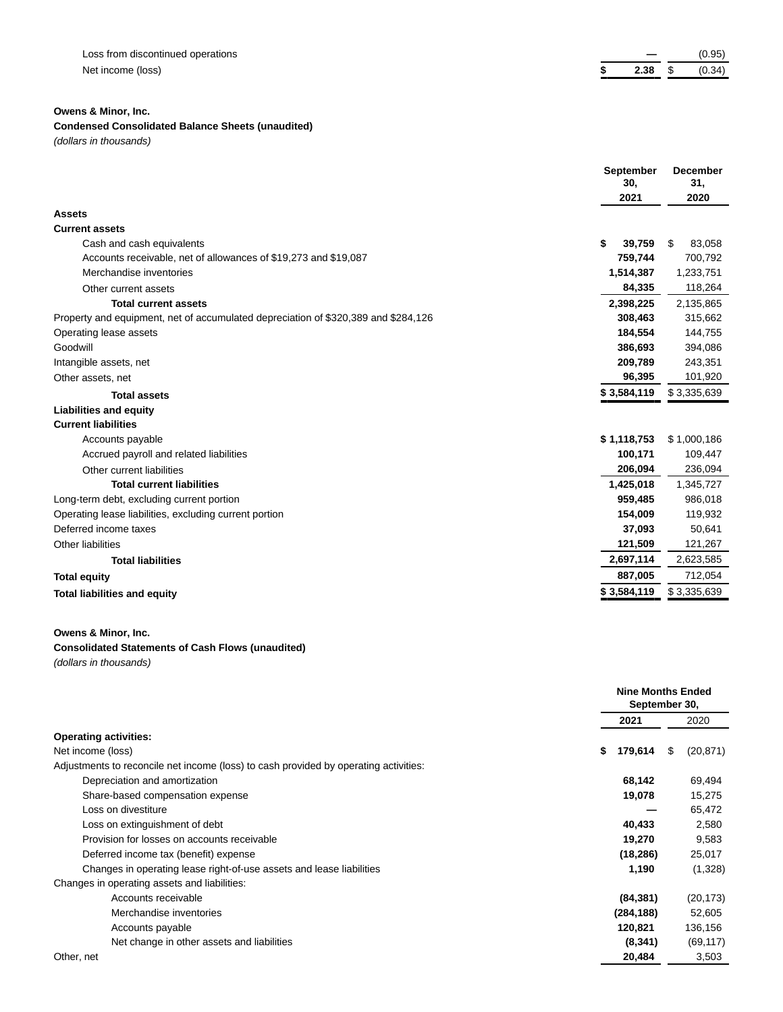|   |     |   | (0.95) |
|---|-----|---|--------|
| ж | ンマヌ | Ψ | (0.34) |

## **Condensed Consolidated Balance Sheets (unaudited)**

(dollars in thousands)

|                                                                                    | September    | <b>December</b> |
|------------------------------------------------------------------------------------|--------------|-----------------|
|                                                                                    | 30.          | 31,             |
|                                                                                    | 2021         | 2020            |
| <b>Assets</b>                                                                      |              |                 |
| <b>Current assets</b>                                                              |              |                 |
| Cash and cash equivalents                                                          | \$<br>39.759 | \$<br>83,058    |
| Accounts receivable, net of allowances of \$19,273 and \$19,087                    | 759,744      | 700,792         |
| Merchandise inventories                                                            | 1,514,387    | 1,233,751       |
| Other current assets                                                               | 84,335       | 118,264         |
| <b>Total current assets</b>                                                        | 2,398,225    | 2,135,865       |
| Property and equipment, net of accumulated depreciation of \$320,389 and \$284,126 | 308,463      | 315,662         |
| Operating lease assets                                                             | 184,554      | 144,755         |
| Goodwill                                                                           | 386,693      | 394,086         |
| Intangible assets, net                                                             | 209,789      | 243,351         |
| Other assets, net                                                                  | 96,395       | 101,920         |
| <b>Total assets</b>                                                                | \$3,584,119  | \$3,335,639     |
| <b>Liabilities and equity</b>                                                      |              |                 |
| <b>Current liabilities</b>                                                         |              |                 |
| Accounts payable                                                                   | \$1,118,753  | \$1,000,186     |
| Accrued payroll and related liabilities                                            | 100,171      | 109,447         |
| Other current liabilities                                                          | 206,094      | 236,094         |
| <b>Total current liabilities</b>                                                   | 1,425,018    | 1,345,727       |
| Long-term debt, excluding current portion                                          | 959,485      | 986,018         |
| Operating lease liabilities, excluding current portion                             | 154,009      | 119,932         |
| Deferred income taxes                                                              | 37,093       | 50,641          |
| Other liabilities                                                                  | 121,509      | 121,267         |
| <b>Total liabilities</b>                                                           | 2,697,114    | 2,623,585       |
| <b>Total equity</b>                                                                | 887,005      | 712,054         |
| <b>Total liabilities and equity</b>                                                | \$3,584,119  | \$3,335,639     |

## **Owens & Minor, Inc.**

### **Consolidated Statements of Cash Flows (unaudited)**

(dollars in thousands)

|                                                                                      | <b>Nine Months Ended</b><br>September 30, |                 |
|--------------------------------------------------------------------------------------|-------------------------------------------|-----------------|
|                                                                                      | 2021                                      | 2020            |
| <b>Operating activities:</b>                                                         |                                           |                 |
| Net income (loss)                                                                    | 179,614<br>\$                             | (20, 871)<br>\$ |
| Adjustments to reconcile net income (loss) to cash provided by operating activities: |                                           |                 |
| Depreciation and amortization                                                        | 68,142                                    | 69,494          |
| Share-based compensation expense                                                     | 19,078                                    | 15,275          |
| Loss on divestiture                                                                  |                                           | 65,472          |
| Loss on extinguishment of debt                                                       | 40,433                                    | 2,580           |
| Provision for losses on accounts receivable                                          | 19,270                                    | 9,583           |
| Deferred income tax (benefit) expense                                                | (18, 286)                                 | 25,017          |
| Changes in operating lease right-of-use assets and lease liabilities                 | 1,190                                     | (1,328)         |
| Changes in operating assets and liabilities:                                         |                                           |                 |
| Accounts receivable                                                                  | (84, 381)                                 | (20, 173)       |
| Merchandise inventories                                                              | (284, 188)                                | 52,605          |
| Accounts payable                                                                     | 120,821                                   | 136,156         |
| Net change in other assets and liabilities                                           | (8, 341)                                  | (69, 117)       |
| Other, net                                                                           | 20,484                                    | 3,503           |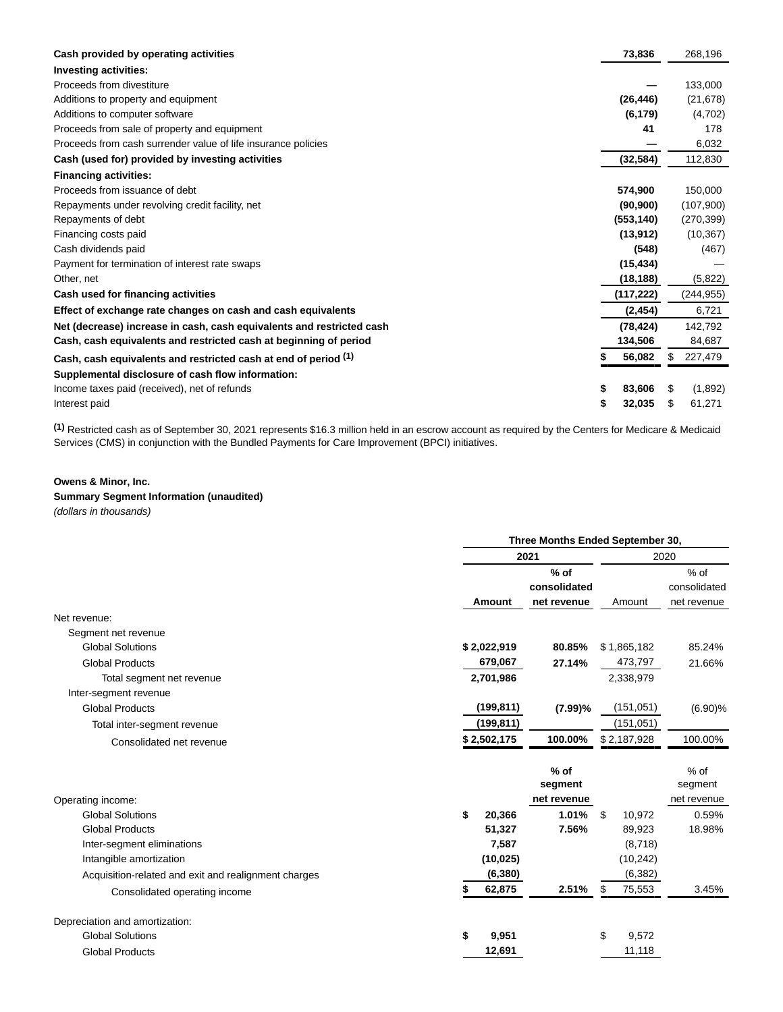| Cash provided by operating activities                                 |    | 73,836     | 268,196       |
|-----------------------------------------------------------------------|----|------------|---------------|
| <b>Investing activities:</b>                                          |    |            |               |
| Proceeds from divestiture                                             |    |            | 133,000       |
| Additions to property and equipment                                   |    | (26, 446)  | (21, 678)     |
| Additions to computer software                                        |    | (6, 179)   | (4,702)       |
| Proceeds from sale of property and equipment                          |    | 41         | 178           |
| Proceeds from cash surrender value of life insurance policies         |    |            | 6,032         |
| Cash (used for) provided by investing activities                      |    | (32, 584)  | 112,830       |
| <b>Financing activities:</b>                                          |    |            |               |
| Proceeds from issuance of debt                                        |    | 574,900    | 150,000       |
| Repayments under revolving credit facility, net                       |    | (90, 900)  | (107,900)     |
| Repayments of debt                                                    |    | (553, 140) | (270, 399)    |
| Financing costs paid                                                  |    | (13, 912)  | (10, 367)     |
| Cash dividends paid                                                   |    | (548)      | (467)         |
| Payment for termination of interest rate swaps                        |    | (15, 434)  |               |
| Other, net                                                            |    | (18, 188)  | (5,822)       |
| Cash used for financing activities                                    |    | (117, 222) | (244, 955)    |
| Effect of exchange rate changes on cash and cash equivalents          |    | (2, 454)   | 6,721         |
| Net (decrease) increase in cash, cash equivalents and restricted cash |    | (78, 424)  | 142,792       |
| Cash, cash equivalents and restricted cash at beginning of period     |    | 134,506    | 84.687        |
| Cash, cash equivalents and restricted cash at end of period (1)       |    | 56,082     | \$<br>227,479 |
| Supplemental disclosure of cash flow information:                     |    |            |               |
| Income taxes paid (received), net of refunds                          | \$ | 83,606     | \$<br>(1,892) |
| Interest paid                                                         | S  | 32,035     | \$<br>61,271  |

**(1)** Restricted cash as of September 30, 2021 represents \$16.3 million held in an escrow account as required by the Centers for Medicare & Medicaid Services (CMS) in conjunction with the Bundled Payments for Care Improvement (BPCI) initiatives.

### **Owens & Minor, Inc.**

# **Summary Segment Information (unaudited)**

(dollars in thousands)

|                                                      | Three Months Ended September 30, |            |                                  |            |             |                                  |
|------------------------------------------------------|----------------------------------|------------|----------------------------------|------------|-------------|----------------------------------|
|                                                      |                                  |            | 2021                             |            |             | 2020                             |
|                                                      |                                  |            |                                  |            |             | $%$ of                           |
|                                                      |                                  |            | consolidated                     |            |             | consolidated                     |
|                                                      |                                  | Amount     | net revenue                      |            | Amount      | net revenue                      |
| Net revenue:                                         |                                  |            |                                  |            |             |                                  |
| Segment net revenue                                  |                                  |            |                                  |            |             |                                  |
| <b>Global Solutions</b>                              | \$2,022,919                      |            | 80.85%                           |            | \$1,865,182 | 85.24%                           |
| <b>Global Products</b>                               |                                  | 679,067    | 27.14%                           |            | 473,797     | 21.66%                           |
| Total segment net revenue                            |                                  | 2,701,986  |                                  |            | 2,338,979   |                                  |
| Inter-segment revenue                                |                                  |            |                                  |            |             |                                  |
| <b>Global Products</b>                               |                                  | (199, 811) | (7.99)%                          |            | (151, 051)  | (6.90)%                          |
| Total inter-segment revenue                          |                                  | (199, 811) |                                  | (151, 051) |             |                                  |
| Consolidated net revenue                             | \$2,502,175                      |            | 100.00%                          |            | \$2,187,928 | 100.00%                          |
| Operating income:                                    |                                  |            | $%$ of<br>segment<br>net revenue |            |             | $%$ of<br>segment<br>net revenue |
| <b>Global Solutions</b>                              | \$                               | 20,366     | 1.01%                            | \$         | 10,972      | 0.59%                            |
| <b>Global Products</b>                               |                                  | 51,327     | 7.56%                            |            | 89,923      | 18.98%                           |
| Inter-segment eliminations                           |                                  | 7,587      |                                  |            | (8,718)     |                                  |
| Intangible amortization                              |                                  | (10, 025)  |                                  |            | (10, 242)   |                                  |
| Acquisition-related and exit and realignment charges |                                  | (6, 380)   |                                  |            | (6, 382)    |                                  |
| Consolidated operating income                        |                                  | 62,875     | 2.51%                            | S          | 75,553      | 3.45%                            |
| Depreciation and amortization:                       |                                  |            |                                  |            |             |                                  |
| <b>Global Solutions</b>                              | \$                               | 9,951      |                                  | \$         | 9,572       |                                  |
| <b>Global Products</b>                               |                                  | 12,691     |                                  |            | 11,118      |                                  |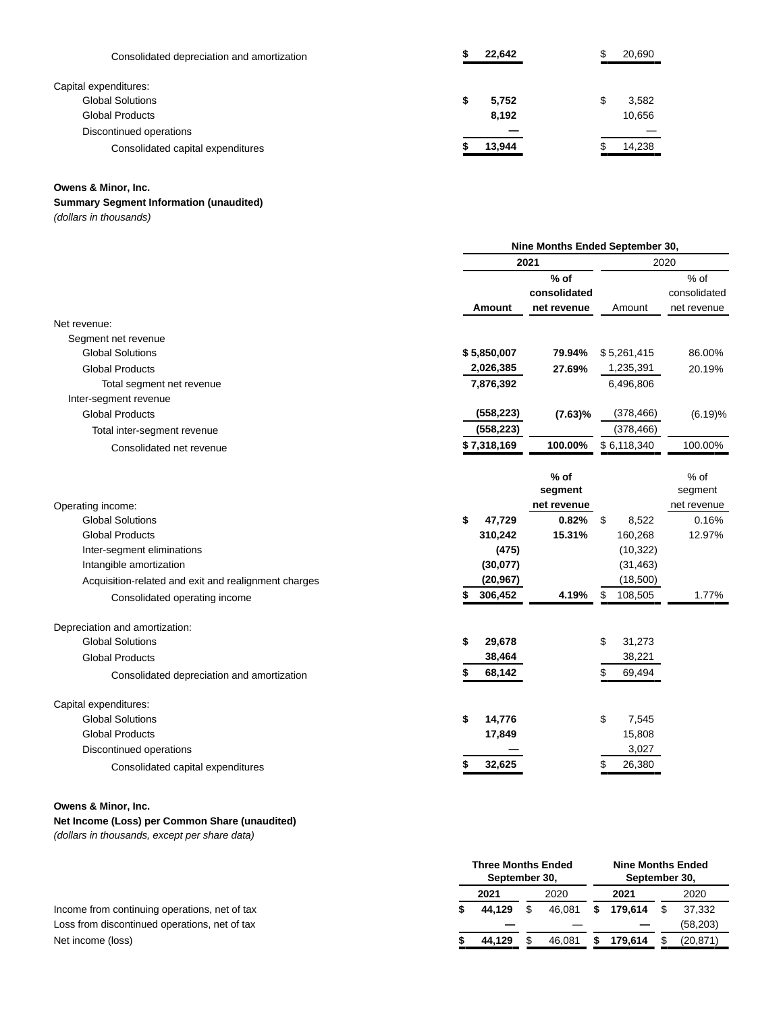| Consolidated depreciation and amortization | 22,642 | 20,690 |
|--------------------------------------------|--------|--------|
| Capital expenditures:                      |        |        |
| <b>Global Solutions</b>                    | 5,752  | 3,582  |
| <b>Global Products</b>                     | 8.192  | 10,656 |
| Discontinued operations                    |        |        |
| Consolidated capital expenditures          | 13,944 | 14,238 |

## **Summary Segment Information (unaudited)**

(dollars in thousands)

|                                                      | Nine Months Ended September 30, |              |               |              |  |  |
|------------------------------------------------------|---------------------------------|--------------|---------------|--------------|--|--|
|                                                      |                                 | 2021         |               | 2020         |  |  |
|                                                      |                                 | $%$ of       |               | % of         |  |  |
|                                                      |                                 | consolidated |               | consolidated |  |  |
|                                                      | Amount                          | net revenue  | Amount        | net revenue  |  |  |
| Net revenue:                                         |                                 |              |               |              |  |  |
| Segment net revenue                                  |                                 |              |               |              |  |  |
| <b>Global Solutions</b>                              | \$5,850,007                     | 79.94%       | \$5,261,415   | 86.00%       |  |  |
| <b>Global Products</b>                               | 2,026,385                       | 27.69%       | 1,235,391     | 20.19%       |  |  |
| Total segment net revenue                            | 7,876,392                       |              | 6,496,806     |              |  |  |
| Inter-segment revenue                                |                                 |              |               |              |  |  |
| <b>Global Products</b>                               | (558, 223)                      | (7.63)%      | (378, 466)    | (6.19)%      |  |  |
| Total inter-segment revenue                          | (558, 223)                      |              | (378, 466)    |              |  |  |
| Consolidated net revenue                             | \$7,318,169                     | 100.00%      | \$6,118,340   | 100.00%      |  |  |
|                                                      |                                 |              |               |              |  |  |
|                                                      |                                 | $%$ of       |               | $%$ of       |  |  |
|                                                      |                                 | segment      |               | segment      |  |  |
| Operating income:                                    |                                 | net revenue  |               | net revenue  |  |  |
| <b>Global Solutions</b>                              | \$<br>47,729                    | 0.82%        | \$<br>8,522   | 0.16%        |  |  |
| <b>Global Products</b>                               | 310,242                         | 15.31%       | 160,268       | 12.97%       |  |  |
| Inter-segment eliminations                           | (475)                           |              | (10, 322)     |              |  |  |
| Intangible amortization                              | (30, 077)                       |              | (31, 463)     |              |  |  |
| Acquisition-related and exit and realignment charges | (20, 967)                       |              | (18,500)      |              |  |  |
| Consolidated operating income                        | 306,452<br>\$                   | 4.19%        | \$<br>108,505 | 1.77%        |  |  |
| Depreciation and amortization:                       |                                 |              |               |              |  |  |
| <b>Global Solutions</b>                              | \$<br>29,678                    |              | \$<br>31,273  |              |  |  |
| <b>Global Products</b>                               | 38,464                          |              | 38,221        |              |  |  |
| Consolidated depreciation and amortization           | 68,142                          |              | \$<br>69,494  |              |  |  |
| Capital expenditures:                                |                                 |              |               |              |  |  |
| <b>Global Solutions</b>                              | \$<br>14,776                    |              | \$<br>7,545   |              |  |  |
| <b>Global Products</b>                               | 17,849                          |              | 15,808        |              |  |  |
| Discontinued operations                              |                                 |              | 3,027         |              |  |  |
| Consolidated capital expenditures                    | 32,625<br>\$                    |              | 26,380<br>\$  |              |  |  |

#### **Owens & Minor, Inc.**

# **Net Income (Loss) per Common Share (unaudited)**

(dollars in thousands, except per share data)

|                                               |      | <b>Three Months Ended</b><br>September 30, |        |      | Nine Months Ended<br>September 30, |  |           |  |
|-----------------------------------------------|------|--------------------------------------------|--------|------|------------------------------------|--|-----------|--|
|                                               | 2021 |                                            | 2020   | 2021 |                                    |  | 2020      |  |
| Income from continuing operations, net of tax |      | 44.129                                     | 46.081 |      | 179.614                            |  | 37,332    |  |
| Loss from discontinued operations, net of tax |      |                                            |        |      |                                    |  | (58, 203) |  |
| Net income (loss)                             |      | 44.129                                     | 46.081 |      | 179.614                            |  | (20, 871) |  |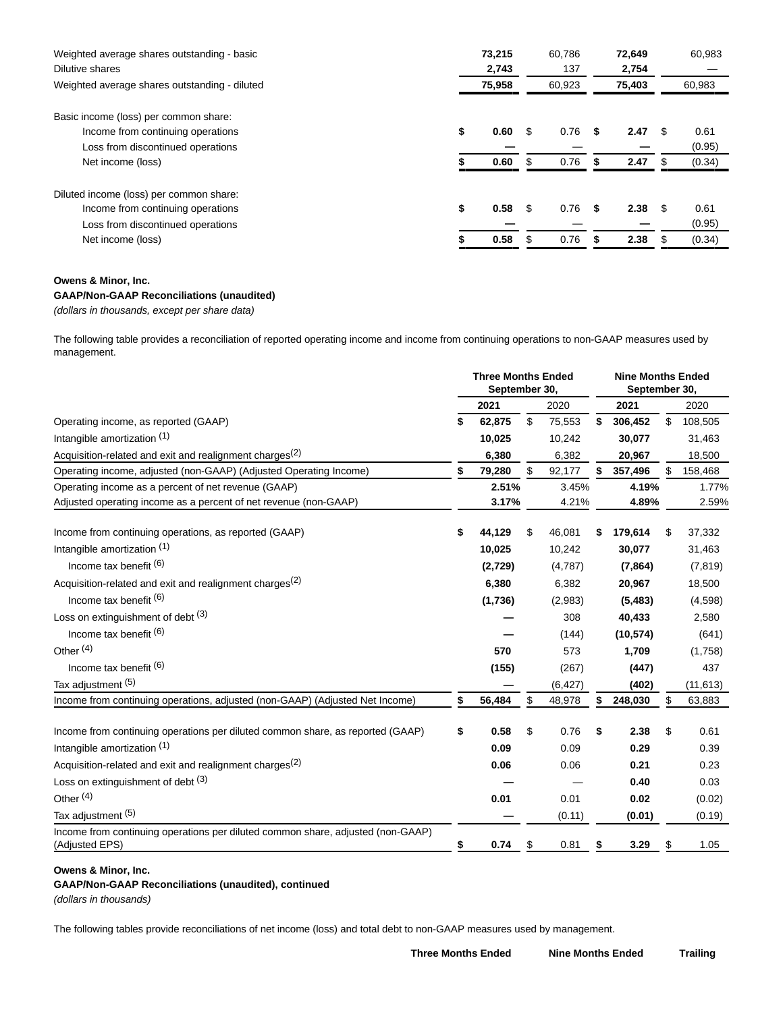| Weighted average shares outstanding - basic<br>Dilutive shares | 73,215<br>2,743 |        |     | 60.786<br>137 |    | 72.649<br>2,754 |      | 60.983 |  |
|----------------------------------------------------------------|-----------------|--------|-----|---------------|----|-----------------|------|--------|--|
| Weighted average shares outstanding - diluted                  |                 | 75,958 |     | 60,923        |    | 75,403          |      | 60,983 |  |
| Basic income (loss) per common share:                          |                 |        |     |               |    |                 |      |        |  |
| Income from continuing operations                              | \$              | 0.60   | \$. | 0.76          | S. | 2.47            | \$.  | 0.61   |  |
| Loss from discontinued operations                              |                 |        |     |               |    |                 |      | (0.95) |  |
| Net income (loss)                                              |                 | 0.60   |     | 0.76          |    | 2.47            |      | (0.34) |  |
| Diluted income (loss) per common share:                        |                 |        |     |               |    |                 |      |        |  |
| Income from continuing operations                              | \$              | 0.58   | \$. | 0.76          | \$ | 2.38            | - \$ | 0.61   |  |
| Loss from discontinued operations                              |                 |        |     |               |    |                 |      | (0.95) |  |
| Net income (loss)                                              |                 | 0.58   |     | 0.76          | S  | 2.38            | \$.  | (0.34) |  |

## **GAAP/Non-GAAP Reconciliations (unaudited)**

(dollars in thousands, except per share data)

The following table provides a reconciliation of reported operating income and income from continuing operations to non-GAAP measures used by management.

|                                                                                                   |              | <b>Three Months Ended</b><br>September 30, |          |    | <b>Nine Months Ended</b><br>September 30, |    |           |  |
|---------------------------------------------------------------------------------------------------|--------------|--------------------------------------------|----------|----|-------------------------------------------|----|-----------|--|
|                                                                                                   | 2021         |                                            | 2020     |    | 2021                                      |    | 2020      |  |
| Operating income, as reported (GAAP)                                                              | \$<br>62,875 | \$                                         | 75,553   | \$ | 306,452                                   | \$ | 108,505   |  |
| Intangible amortization (1)                                                                       | 10,025       |                                            | 10,242   |    | 30,077                                    |    | 31,463    |  |
| Acquisition-related and exit and realignment charges <sup>(2)</sup>                               | 6,380        |                                            | 6,382    |    | 20,967                                    |    | 18,500    |  |
| Operating income, adjusted (non-GAAP) (Adjusted Operating Income)                                 | 79,280       | \$                                         | 92,177   |    | 357,496                                   |    | 158,468   |  |
| Operating income as a percent of net revenue (GAAP)                                               | 2.51%        |                                            | 3.45%    |    | 4.19%                                     |    | 1.77%     |  |
| Adjusted operating income as a percent of net revenue (non-GAAP)                                  | 3.17%        |                                            | 4.21%    |    | 4.89%                                     |    | 2.59%     |  |
| Income from continuing operations, as reported (GAAP)                                             | \$<br>44,129 | \$                                         | 46,081   |    | 179,614                                   | \$ | 37,332    |  |
| Intangible amortization (1)                                                                       | 10,025       |                                            | 10,242   |    | 30,077                                    |    | 31,463    |  |
| Income tax benefit (6)                                                                            | (2,729)      |                                            | (4,787)  |    | (7, 864)                                  |    | (7, 819)  |  |
| Acquisition-related and exit and realignment charges <sup>(2)</sup>                               | 6,380        |                                            | 6,382    |    | 20,967                                    |    | 18,500    |  |
| Income tax benefit (6)                                                                            | (1,736)      |                                            | (2,983)  |    | (5, 483)                                  |    | (4,598)   |  |
| Loss on extinguishment of debt $(3)$                                                              |              |                                            | 308      |    | 40,433                                    |    | 2,580     |  |
| Income tax benefit (6)                                                                            |              |                                            | (144)    |    | (10, 574)                                 |    | (641)     |  |
| Other <sup>(4)</sup>                                                                              | 570          |                                            | 573      |    | 1,709                                     |    | (1,758)   |  |
| Income tax benefit (6)                                                                            | (155)        |                                            | (267)    |    | (447)                                     |    | 437       |  |
| Tax adjustment (5)                                                                                |              |                                            | (6, 427) |    | (402)                                     |    | (11, 613) |  |
| Income from continuing operations, adjusted (non-GAAP) (Adjusted Net Income)                      | \$<br>56,484 | \$                                         | 48,978   |    | 248,030                                   | \$ | 63,883    |  |
| Income from continuing operations per diluted common share, as reported (GAAP)                    | \$<br>0.58   | \$                                         | 0.76     | \$ | 2.38                                      | \$ | 0.61      |  |
| Intangible amortization (1)                                                                       | 0.09         |                                            | 0.09     |    | 0.29                                      |    | 0.39      |  |
| Acquisition-related and exit and realignment charges <sup>(2)</sup>                               | 0.06         |                                            | 0.06     |    | 0.21                                      |    | 0.23      |  |
| Loss on extinguishment of debt (3)                                                                |              |                                            |          |    | 0.40                                      |    | 0.03      |  |
| Other <sup>(4)</sup>                                                                              | 0.01         |                                            | 0.01     |    | 0.02                                      |    | (0.02)    |  |
| Tax adjustment (5)                                                                                |              |                                            | (0.11)   |    | (0.01)                                    |    | (0.19)    |  |
| Income from continuing operations per diluted common share, adjusted (non-GAAP)<br>(Adjusted EPS) | \$<br>0.74   | \$                                         | 0.81     | S  | 3.29                                      | \$ | 1.05      |  |

## **Owens & Minor, Inc.**

### **GAAP/Non-GAAP Reconciliations (unaudited), continued**

(dollars in thousands)

The following tables provide reconciliations of net income (loss) and total debt to non-GAAP measures used by management.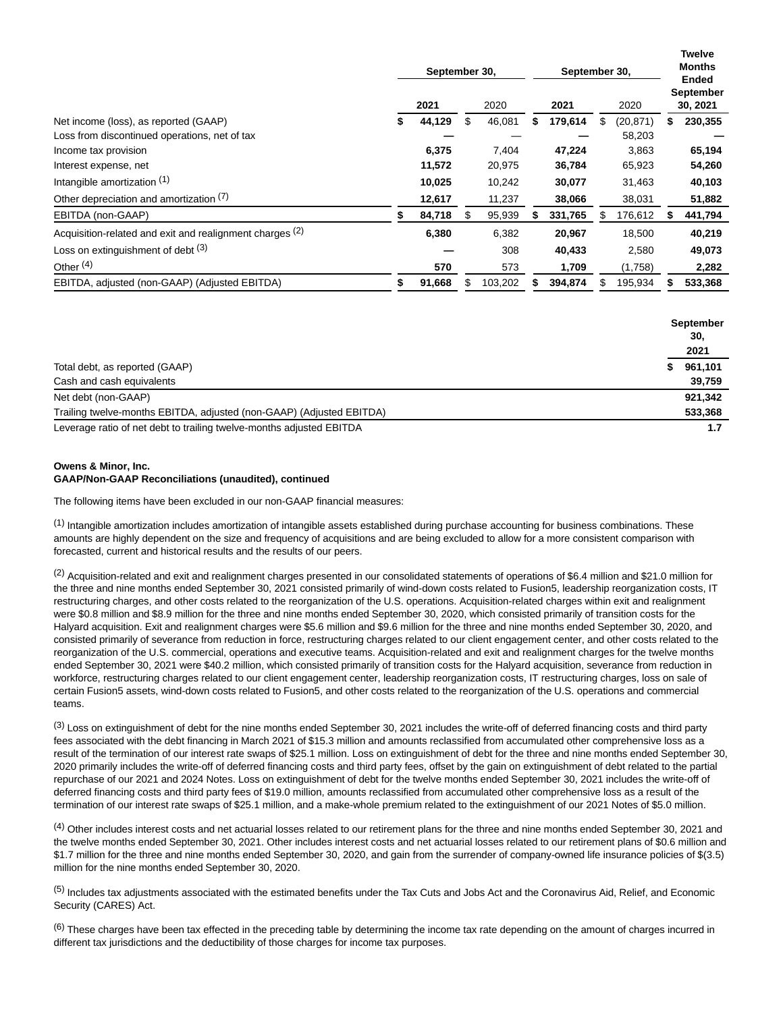|    | 2021   | 2020 |         |               | 2021    | 2020 |           | <b>Twelve</b><br><b>Months</b><br>Ended<br><b>September</b><br>30, 2021 |         |
|----|--------|------|---------|---------------|---------|------|-----------|-------------------------------------------------------------------------|---------|
| 5  | 44,129 | \$   | 46,081  | S             | 179,614 | \$   | (20, 871) | S                                                                       | 230,355 |
|    |        |      |         |               |         |      | 58,203    |                                                                         |         |
|    | 6,375  |      | 7,404   |               | 47,224  |      | 3,863     |                                                                         | 65,194  |
|    | 11,572 |      | 20,975  |               | 36,784  |      | 65,923    |                                                                         | 54,260  |
|    | 10,025 |      | 10,242  |               | 30,077  |      | 31,463    |                                                                         | 40,103  |
|    | 12,617 |      | 11,237  |               | 38,066  |      | 38,031    |                                                                         | 51,882  |
|    | 84,718 |      | 95,939  |               | 331,765 |      | 176,612   |                                                                         | 441,794 |
|    | 6,380  |      | 6,382   |               | 20,967  |      | 18,500    |                                                                         | 40,219  |
|    |        |      | 308     |               | 40,433  |      | 2,580     |                                                                         | 49,073  |
|    | 570    |      | 573     |               | 1,709   |      | (1,758)   |                                                                         | 2,282   |
| \$ | 91,668 | S    | 103,202 |               | 394,874 | S    | 195,934   |                                                                         | 533,368 |
|    |        |      |         | September 30, |         |      |           | September 30,                                                           |         |

|                                                                      | September<br>30, |         |
|----------------------------------------------------------------------|------------------|---------|
|                                                                      |                  | 2021    |
| Total debt, as reported (GAAP)                                       | S                | 961,101 |
| Cash and cash equivalents                                            |                  | 39,759  |
| Net debt (non-GAAP)                                                  |                  | 921.342 |
| Trailing twelve-months EBITDA, adjusted (non-GAAP) (Adjusted EBITDA) |                  | 533,368 |
| Leverage ratio of net debt to trailing twelve-months adjusted EBITDA |                  | 1.7     |

### **Owens & Minor, Inc. GAAP/Non-GAAP Reconciliations (unaudited), continued**

The following items have been excluded in our non-GAAP financial measures:

(1) Intangible amortization includes amortization of intangible assets established during purchase accounting for business combinations. These amounts are highly dependent on the size and frequency of acquisitions and are being excluded to allow for a more consistent comparison with forecasted, current and historical results and the results of our peers.

(2) Acquisition-related and exit and realignment charges presented in our consolidated statements of operations of \$6.4 million and \$21.0 million for the three and nine months ended September 30, 2021 consisted primarily of wind-down costs related to Fusion5, leadership reorganization costs, IT restructuring charges, and other costs related to the reorganization of the U.S. operations. Acquisition-related charges within exit and realignment were \$0.8 million and \$8.9 million for the three and nine months ended September 30, 2020, which consisted primarily of transition costs for the Halyard acquisition. Exit and realignment charges were \$5.6 million and \$9.6 million for the three and nine months ended September 30, 2020, and consisted primarily of severance from reduction in force, restructuring charges related to our client engagement center, and other costs related to the reorganization of the U.S. commercial, operations and executive teams. Acquisition-related and exit and realignment charges for the twelve months ended September 30, 2021 were \$40.2 million, which consisted primarily of transition costs for the Halyard acquisition, severance from reduction in workforce, restructuring charges related to our client engagement center, leadership reorganization costs, IT restructuring charges, loss on sale of certain Fusion5 assets, wind-down costs related to Fusion5, and other costs related to the reorganization of the U.S. operations and commercial teams.

<sup>(3)</sup> Loss on extinguishment of debt for the nine months ended September 30, 2021 includes the write-off of deferred financing costs and third party fees associated with the debt financing in March 2021 of \$15.3 million and amounts reclassified from accumulated other comprehensive loss as a result of the termination of our interest rate swaps of \$25.1 million. Loss on extinguishment of debt for the three and nine months ended September 30, 2020 primarily includes the write-off of deferred financing costs and third party fees, offset by the gain on extinguishment of debt related to the partial repurchase of our 2021 and 2024 Notes. Loss on extinguishment of debt for the twelve months ended September 30, 2021 includes the write-off of deferred financing costs and third party fees of \$19.0 million, amounts reclassified from accumulated other comprehensive loss as a result of the termination of our interest rate swaps of \$25.1 million, and a make-whole premium related to the extinguishment of our 2021 Notes of \$5.0 million.

<sup>(4)</sup> Other includes interest costs and net actuarial losses related to our retirement plans for the three and nine months ended September 30, 2021 and the twelve months ended September 30, 2021. Other includes interest costs and net actuarial losses related to our retirement plans of \$0.6 million and \$1.7 million for the three and nine months ended September 30, 2020, and gain from the surrender of company-owned life insurance policies of \$(3.5) million for the nine months ended September 30, 2020.

(5) Includes tax adjustments associated with the estimated benefits under the Tax Cuts and Jobs Act and the Coronavirus Aid, Relief, and Economic Security (CARES) Act.

(6) These charges have been tax effected in the preceding table by determining the income tax rate depending on the amount of charges incurred in different tax jurisdictions and the deductibility of those charges for income tax purposes.